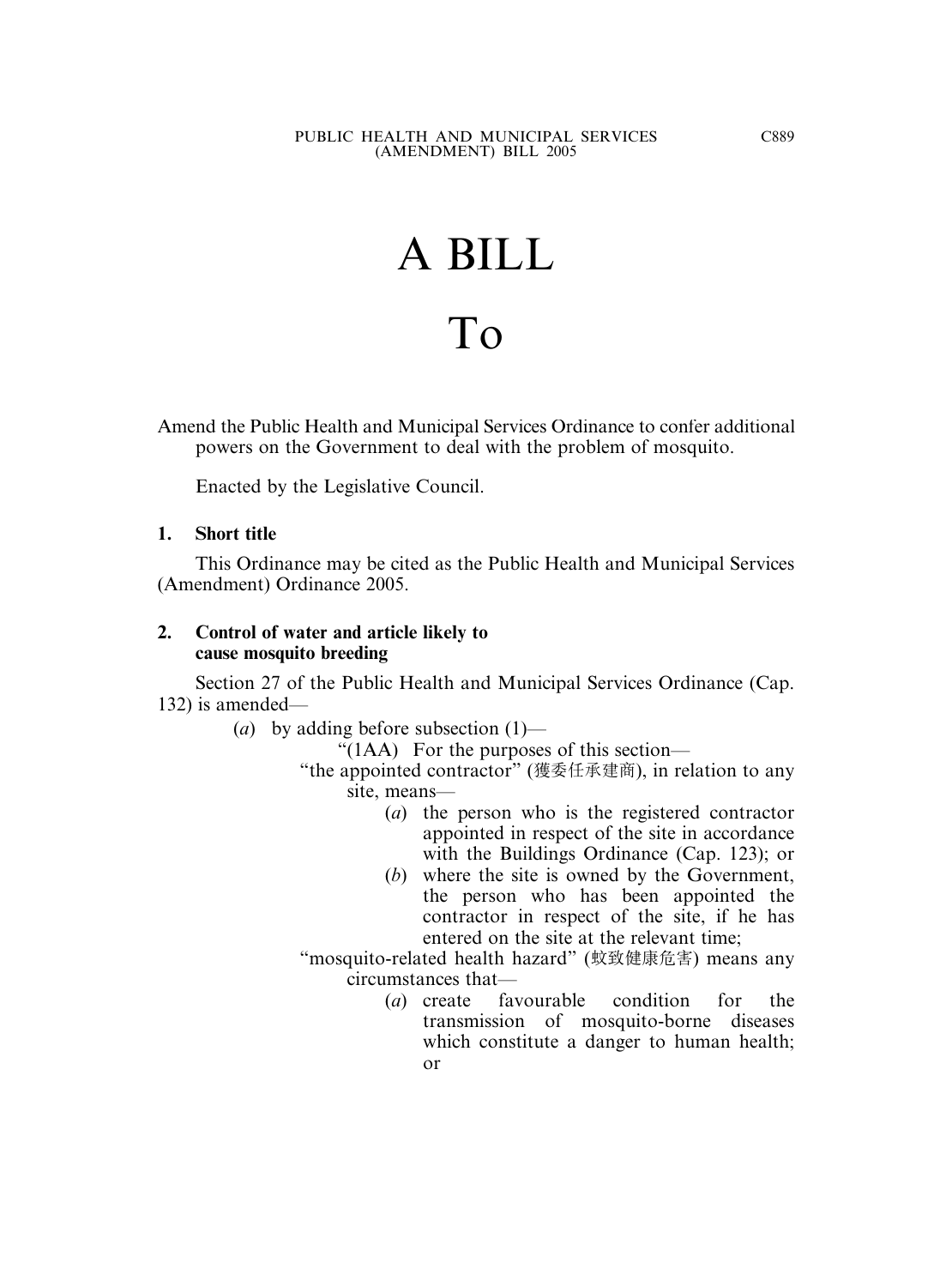# A BILL To

Amend the Public Health and Municipal Services Ordinance to confer additional powers on the Government to deal with the problem of mosquito.

Enacted by the Legislative Council.

# **1. Short title**

This Ordinance may be cited as the Public Health and Municipal Services (Amendment) Ordinance 2005.

## **2. Control of water and article likely to cause mosquito breeding**

Section 27 of the Public Health and Municipal Services Ordinance (Cap. 132) is amended—

(*a*) by adding before subsection (1)—

" $(1AA)$  For the purposes of this section—

- "the appointed contractor" (獲委任承建商), in relation to any site, means—
	- (*a*) the person who is the registered contractor appointed in respect of the site in accordance with the Buildings Ordinance (Cap. 123); or
	- (*b*) where the site is owned by the Government, the person who has been appointed the contractor in respect of the site, if he has entered on the site at the relevant time;
- "mosquito-related health hazard" (蚊致健康危害) means any circumstances that—
	- (*a*) create favourable condition for the transmission of mosquito-borne diseases which constitute a danger to human health; or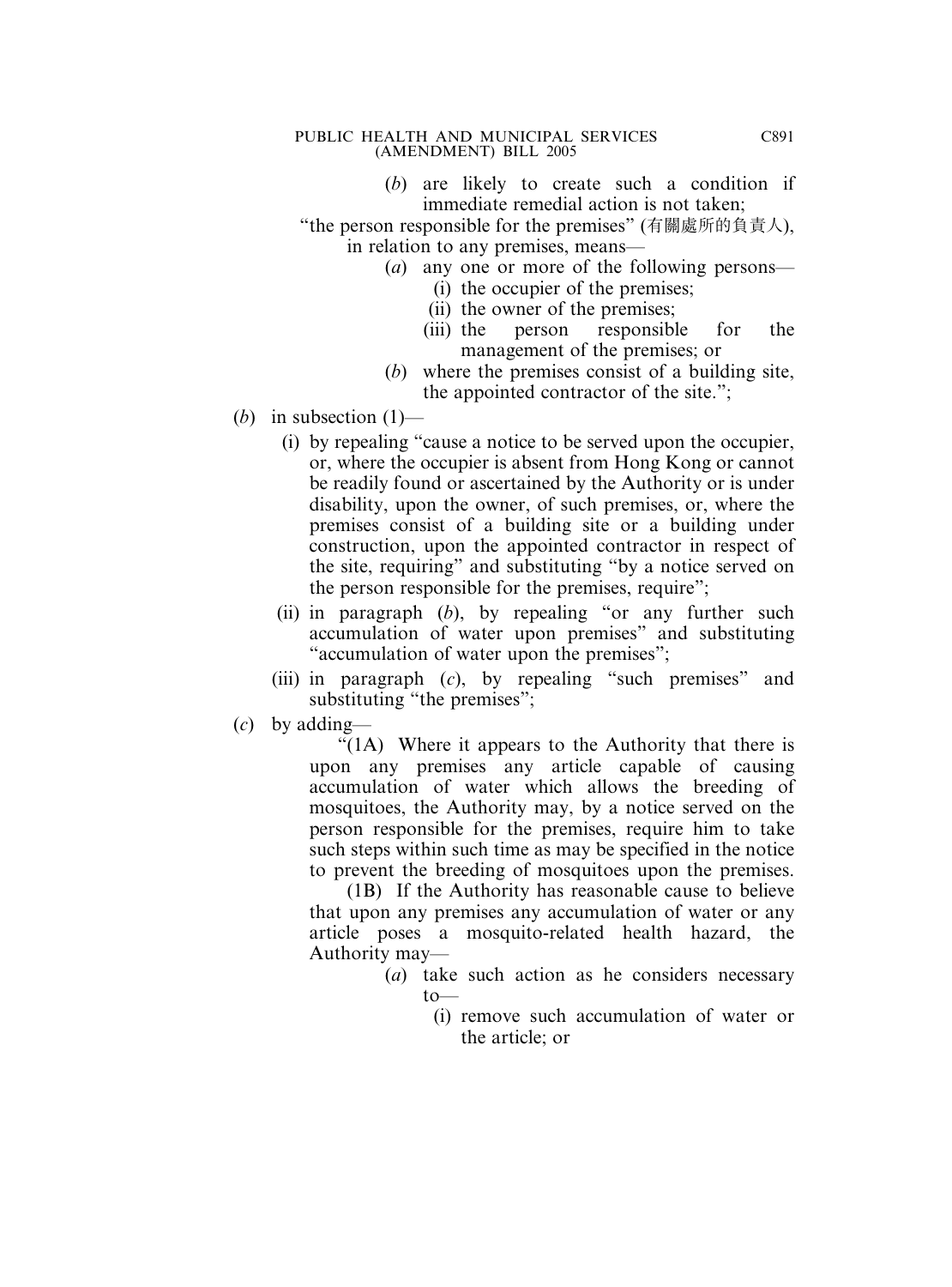### PUBLIC HEALTH AND MUNICIPAL SERVICES (AMENDMENT) BILL 2005

(*b*) are likely to create such a condition if immediate remedial action is not taken;

"the person responsible for the premises" (有關處所的負責人), in relation to any premises, means—

- (*a*) any one or more of the following persons—
	- (i) the occupier of the premises;
	- (ii) the owner of the premises;
	- (iii) the person responsible for the management of the premises; or
- (*b*) where the premises consist of a building site, the appointed contractor of the site.";
- (*b*) in subsection  $(1)$ 
	- (i) by repealing "cause a notice to be served upon the occupier, or, where the occupier is absent from Hong Kong or cannot be readily found or ascertained by the Authority or is under disability, upon the owner, of such premises, or, where the premises consist of a building site or a building under construction, upon the appointed contractor in respect of the site, requiring" and substituting "by a notice served on the person responsible for the premises, require";
	- (ii) in paragraph (*b*), by repealing "or any further such accumulation of water upon premises" and substituting "accumulation of water upon the premises";
	- (iii) in paragraph (*c*), by repealing "such premises" and substituting "the premises";
- (*c*) by adding—

" $(1)$  Where it appears to the Authority that there is upon any premises any article capable of causing accumulation of water which allows the breeding of mosquitoes, the Authority may, by a notice served on the person responsible for the premises, require him to take such steps within such time as may be specified in the notice to prevent the breeding of mosquitoes upon the premises.

(1B) If the Authority has reasonable cause to believe that upon any premises any accumulation of water or any article poses a mosquito-related health hazard, the Authority may—

- (*a*) take such action as he considers necessary  $to$ —
	- (i) remove such accumulation of water or the article; or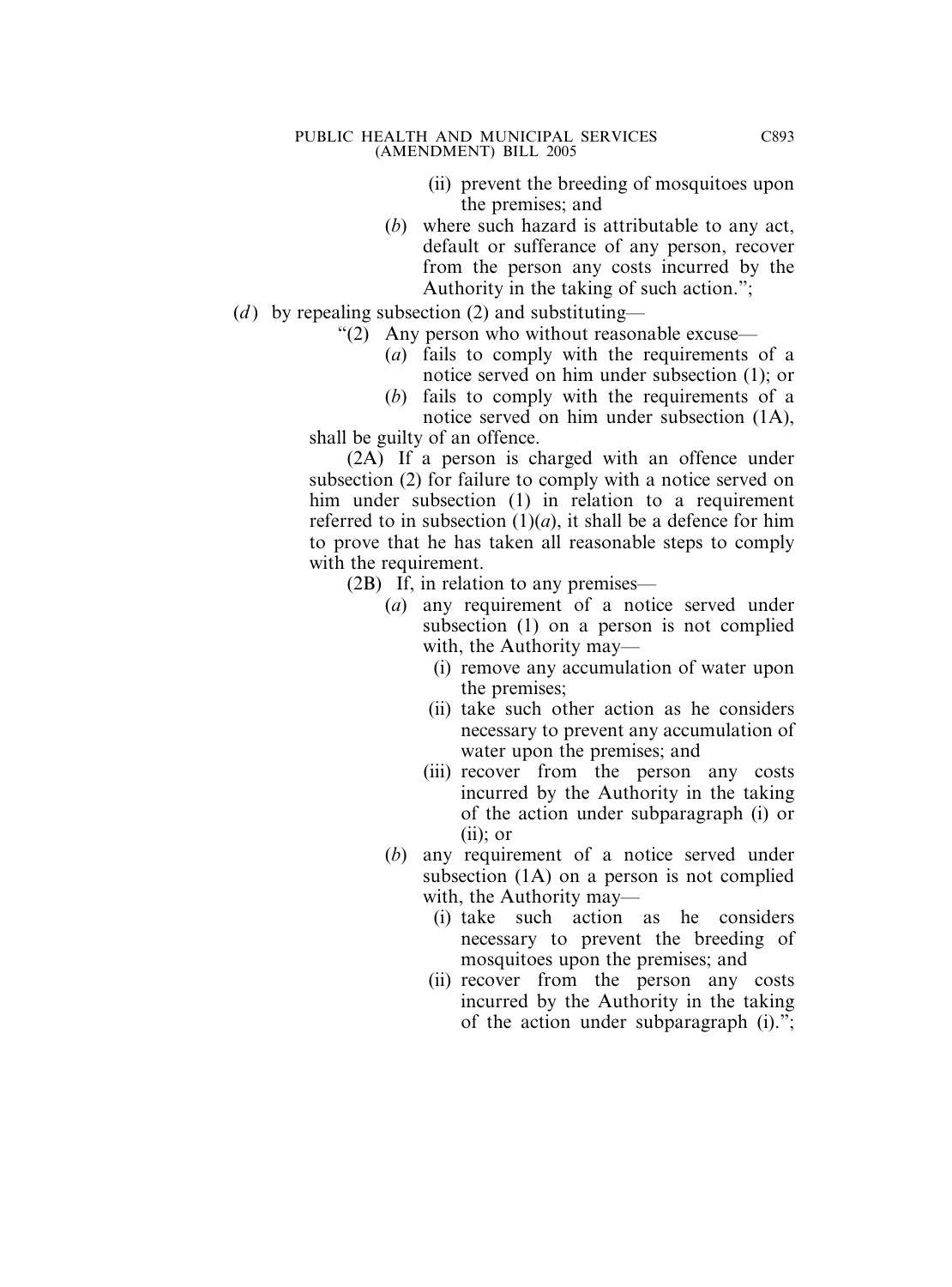#### PUBLIC HEALTH AND MUNICIPAL SERVICES (AMENDMENT) BILL 2005

- (ii) prevent the breeding of mosquitoes upon the premises; and
- (*b*) where such hazard is attributable to any act, default or sufferance of any person, recover from the person any costs incurred by the Authority in the taking of such action.";
- (*d*) by repealing subsection (2) and substituting—
	- "(2) Any person who without reasonable excuse—
		- (*a*) fails to comply with the requirements of a notice served on him under subsection (1); or
		- (*b*) fails to comply with the requirements of a notice served on him under subsection (1A),

shall be guilty of an offence.

(2A) If a person is charged with an offence under subsection (2) for failure to comply with a notice served on him under subsection (1) in relation to a requirement referred to in subsection  $(1)(a)$ , it shall be a defence for him to prove that he has taken all reasonable steps to comply with the requirement.

(2B) If, in relation to any premises—

- (*a*) any requirement of a notice served under subsection (1) on a person is not complied with, the Authority may—
	- (i) remove any accumulation of water upon the premises;
	- (ii) take such other action as he considers necessary to prevent any accumulation of water upon the premises; and
	- (iii) recover from the person any costs incurred by the Authority in the taking of the action under subparagraph (i) or  $(ii)$ : or
- (*b*) any requirement of a notice served under subsection (1A) on a person is not complied with, the Authority may—
	- (i) take such action as he considers necessary to prevent the breeding of mosquitoes upon the premises; and
	- (ii) recover from the person any costs incurred by the Authority in the taking of the action under subparagraph (i).";